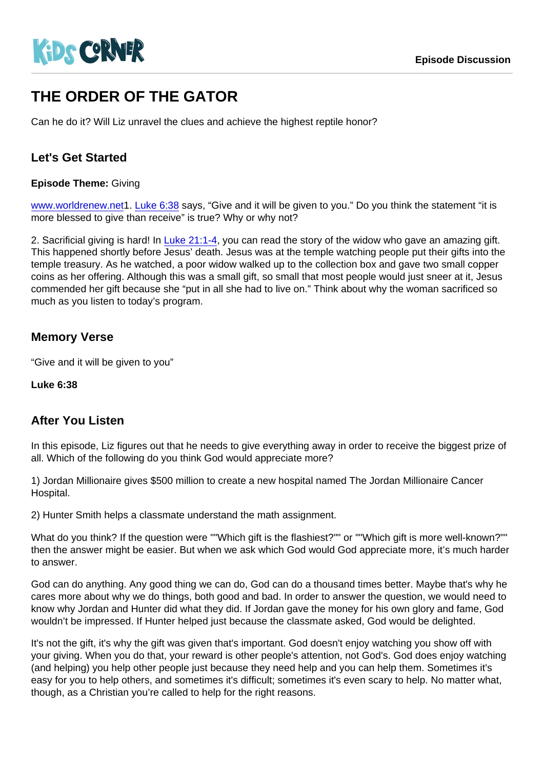# THE ORDER OF THE GATOR

Can he do it? Will Liz unravel the clues and achieve the highest reptile honor?

## Let's Get Started

Episode Theme: Giving

[www.worldrenew.net](https://worldrenew.net/gift-catalog)1. [Luke 6:38](https://www.biblegateway.com/passage/?search=Luke 6:38) says, "Give and it will be given to you." Do you think the statement "it is more blessed to give than receive" is true? Why or why not?

2. Sacrificial giving is hard! In [Luke 21:1-4,](https://www.biblegateway.com/passage/?search=Luke 21:1-4) you can read the story of the widow who gave an amazing gift. This happened shortly before Jesus' death. Jesus was at the temple watching people put their gifts into the temple treasury. As he watched, a poor widow walked up to the collection box and gave two small copper coins as her offering. Although this was a small gift, so small that most people would just sneer at it, Jesus commended her gift because she "put in all she had to live on." Think about why the woman sacrificed so much as you listen to today's program.

## Memory Verse

"Give and it will be given to you"

Luke 6:38

#### After You Listen

In this episode, Liz figures out that he needs to give everything away in order to receive the biggest prize of all. Which of the following do you think God would appreciate more?

1) Jordan Millionaire gives \$500 million to create a new hospital named The Jordan Millionaire Cancer Hospital.

2) Hunter Smith helps a classmate understand the math assignment.

What do you think? If the question were ""Which gift is the flashiest?"" or ""Which gift is more well-known?"" then the answer might be easier. But when we ask which God would God appreciate more, it's much harder to answer.

God can do anything. Any good thing we can do, God can do a thousand times better. Maybe that's why he cares more about why we do things, both good and bad. In order to answer the question, we would need to know why Jordan and Hunter did what they did. If Jordan gave the money for his own glory and fame, God wouldn't be impressed. If Hunter helped just because the classmate asked, God would be delighted.

It's not the gift, it's why the gift was given that's important. God doesn't enjoy watching you show off with your giving. When you do that, your reward is other people's attention, not God's. God does enjoy watching (and helping) you help other people just because they need help and you can help them. Sometimes it's easy for you to help others, and sometimes it's difficult; sometimes it's even scary to help. No matter what, though, as a Christian you're called to help for the right reasons.